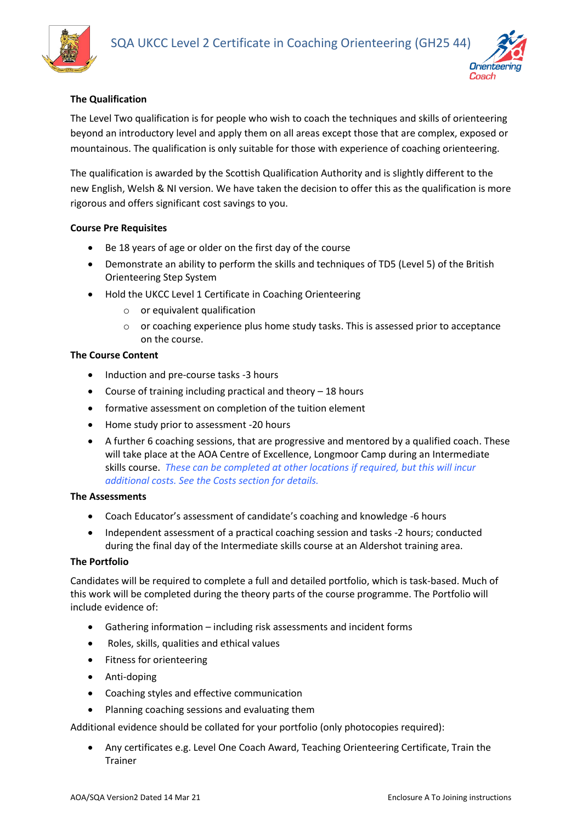



# **The Qualification**

The Level Two qualification is for people who wish to coach the techniques and skills of orienteering beyond an introductory level and apply them on all areas except those that are complex, exposed or mountainous. The qualification is only suitable for those with experience of coaching orienteering.

The qualification is awarded by the Scottish Qualification Authority and is slightly different to the new English, Welsh & NI version. We have taken the decision to offer this as the qualification is more rigorous and offers significant cost savings to you.

## **Course Pre Requisites**

- Be 18 years of age or older on the first day of the course
- Demonstrate an ability to perform the skills and techniques of TD5 (Level 5) of the British Orienteering Step System
- Hold the UKCC Level 1 Certificate in Coaching Orienteering
	- o or equivalent qualification
	- $\circ$  or coaching experience plus home study tasks. This is assessed prior to acceptance on the course.

## **The Course Content**

- Induction and pre-course tasks -3 hours
- Course of training including practical and theory 18 hours
- formative assessment on completion of the tuition element
- Home study prior to assessment -20 hours
- A further 6 coaching sessions, that are progressive and mentored by a qualified coach. These will take place at the AOA Centre of Excellence, Longmoor Camp during an Intermediate skills course. *These can be completed at other locations if required, but this will incur additional costs. See the Costs section for details.*

#### **The Assessments**

- Coach Educator's assessment of candidate's coaching and knowledge -6 hours
- Independent assessment of a practical coaching session and tasks -2 hours; conducted during the final day of the Intermediate skills course at an Aldershot training area.

## **The Portfolio**

Candidates will be required to complete a full and detailed portfolio, which is task-based. Much of this work will be completed during the theory parts of the course programme. The Portfolio will include evidence of:

- Gathering information including risk assessments and incident forms
- Roles, skills, qualities and ethical values
- Fitness for orienteering
- Anti-doping
- Coaching styles and effective communication
- Planning coaching sessions and evaluating them

Additional evidence should be collated for your portfolio (only photocopies required):

• Any certificates e.g. Level One Coach Award, Teaching Orienteering Certificate, Train the Trainer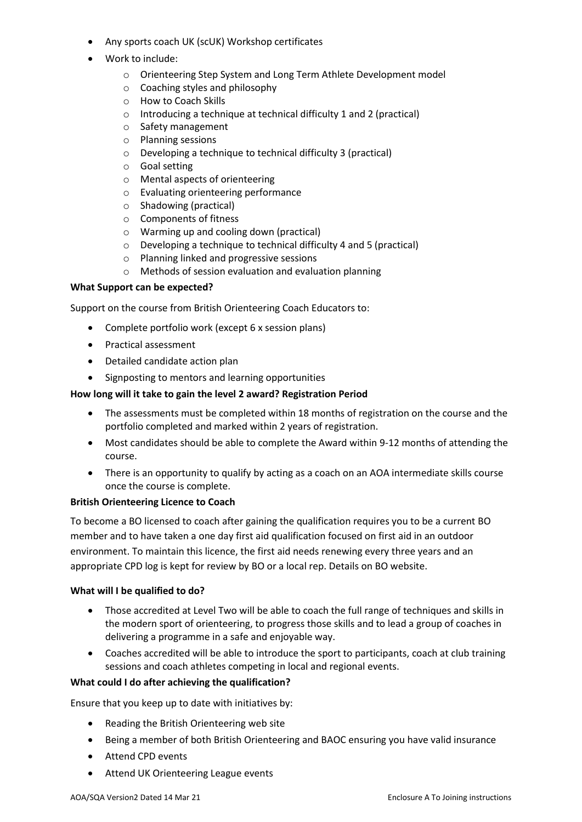- Any sports coach UK (scUK) Workshop certificates
- Work to include:
	- o Orienteering Step System and Long Term Athlete Development model
	- o Coaching styles and philosophy
	- o How to Coach Skills
	- $\circ$  Introducing a technique at technical difficulty 1 and 2 (practical)
	- o Safety management
	- o Planning sessions
	- o Developing a technique to technical difficulty 3 (practical)
	- o Goal setting
	- o Mental aspects of orienteering
	- o Evaluating orienteering performance
	- o Shadowing (practical)
	- o Components of fitness
	- o Warming up and cooling down (practical)
	- o Developing a technique to technical difficulty 4 and 5 (practical)
	- o Planning linked and progressive sessions
	- o Methods of session evaluation and evaluation planning

#### **What Support can be expected?**

Support on the course from British Orienteering Coach Educators to:

- Complete portfolio work (except 6 x session plans)
- Practical assessment
- Detailed candidate action plan
- Signposting to mentors and learning opportunities

#### **How long will it take to gain the level 2 award? Registration Period**

- The assessments must be completed within 18 months of registration on the course and the portfolio completed and marked within 2 years of registration.
- Most candidates should be able to complete the Award within 9-12 months of attending the course.
- There is an opportunity to qualify by acting as a coach on an AOA intermediate skills course once the course is complete.

#### **British Orienteering Licence to Coach**

To become a BO licensed to coach after gaining the qualification requires you to be a current BO member and to have taken a one day first aid qualification focused on first aid in an outdoor environment. To maintain this licence, the first aid needs renewing every three years and an appropriate CPD log is kept for review by BO or a local rep. Details on BO website.

#### **What will I be qualified to do?**

- Those accredited at Level Two will be able to coach the full range of techniques and skills in the modern sport of orienteering, to progress those skills and to lead a group of coaches in delivering a programme in a safe and enjoyable way.
- Coaches accredited will be able to introduce the sport to participants, coach at club training sessions and coach athletes competing in local and regional events.

#### **What could I do after achieving the qualification?**

Ensure that you keep up to date with initiatives by:

- Reading the British Orienteering web site
- Being a member of both British Orienteering and BAOC ensuring you have valid insurance
- Attend CPD events
- Attend UK Orienteering League events